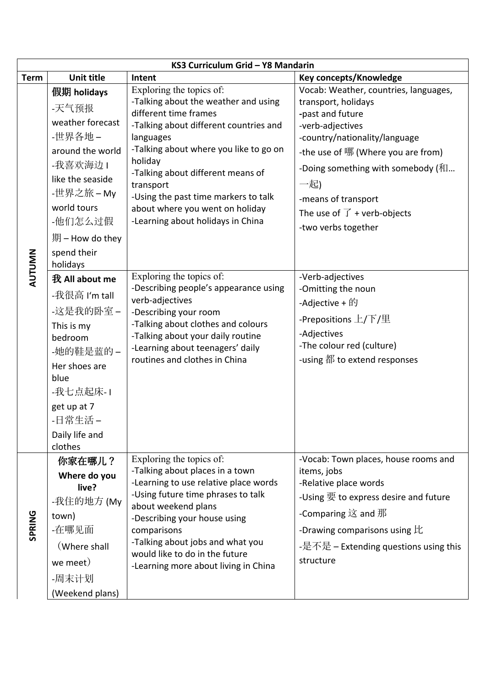|               | KS3 Curriculum Grid - Y8 Mandarin                                                                                                                                                                              |                                                                                                                                                                                                                                                                                                                                                                                                                                              |                                                                                                                                                                                                                                                                                                                                                                   |  |  |  |
|---------------|----------------------------------------------------------------------------------------------------------------------------------------------------------------------------------------------------------------|----------------------------------------------------------------------------------------------------------------------------------------------------------------------------------------------------------------------------------------------------------------------------------------------------------------------------------------------------------------------------------------------------------------------------------------------|-------------------------------------------------------------------------------------------------------------------------------------------------------------------------------------------------------------------------------------------------------------------------------------------------------------------------------------------------------------------|--|--|--|
| <b>Term</b>   | <b>Unit title</b>                                                                                                                                                                                              | Intent                                                                                                                                                                                                                                                                                                                                                                                                                                       | Key concepts/Knowledge                                                                                                                                                                                                                                                                                                                                            |  |  |  |
| <b>AUTUMN</b> | 假期 holidays<br>-天气预报<br>weather forecast<br>-世界各地 –<br>around the world<br>-我喜欢海边1<br>like the seaside<br>-世界之旅 – My<br>world tours<br>-他们怎么过假<br>期 – How do they<br>spend their<br>holidays<br>我 All about me | Exploring the topics of:<br>-Talking about the weather and using<br>different time frames<br>-Talking about different countries and<br>languages<br>-Talking about where you like to go on<br>holiday<br>-Talking about different means of<br>transport<br>-Using the past time markers to talk<br>about where you went on holiday<br>-Learning about holidays in China<br>Exploring the topics of:<br>-Describing people's appearance using | Vocab: Weather, countries, languages,<br>transport, holidays<br>-past and future<br>-verb-adjectives<br>-country/nationality/language<br>-the use of 哪 (Where you are from)<br>-Doing something with somebody (和<br>一起)<br>-means of transport<br>The use of $\overrightarrow{J}$ + verb-objects<br>-two verbs together<br>-Verb-adjectives<br>-Omitting the noun |  |  |  |
|               | -我很高 I'm tall<br>-这是我的卧室 –<br>This is my<br>bedroom<br>-她的鞋是蓝的-<br>Her shoes are<br>blue<br>-我七点起床-1<br>get up at 7<br>-日常生活-<br>Daily life and<br>clothes                                                     | verb-adjectives<br>-Describing your room<br>-Talking about clothes and colours<br>-Talking about your daily routine<br>-Learning about teenagers' daily<br>routines and clothes in China                                                                                                                                                                                                                                                     | -Adjective + 的<br>-Prepositions $L/\overline{\Gamma}/L$<br>-Adjectives<br>-The colour red (culture)<br>-using 都 to extend responses                                                                                                                                                                                                                               |  |  |  |
| <b>SPRING</b> | 你家在哪儿?<br>Where do you<br>live?<br>-我住的地方 (My<br>town)<br>-在哪见面<br>(Where shall<br>we meet)<br>-周末计划<br>(Weekend plans)                                                                                        | Exploring the topics of:<br>-Talking about places in a town<br>-Learning to use relative place words<br>-Using future time phrases to talk<br>about weekend plans<br>-Describing your house using<br>comparisons<br>-Talking about jobs and what you<br>would like to do in the future<br>-Learning more about living in China                                                                                                               | -Vocab: Town places, house rooms and<br>items, jobs<br>-Relative place words<br>-Using 要 to express desire and future<br>-Comparing $\dot{\mathbb{X}}$ and 那<br>-Drawing comparisons using $E$<br>-是不是 – Extending questions using this<br>structure                                                                                                              |  |  |  |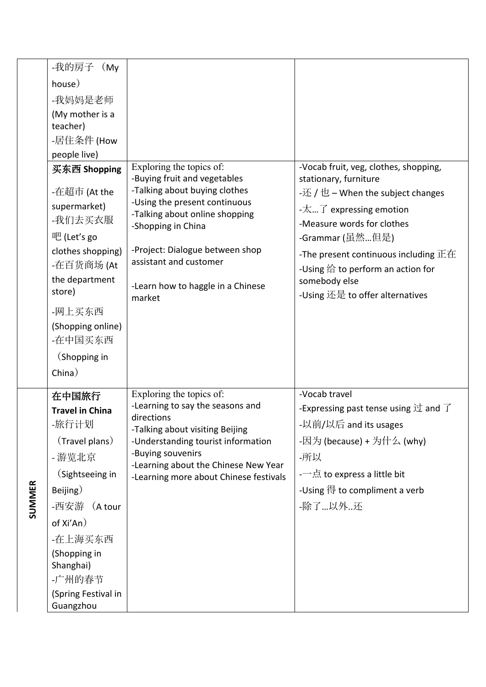|               | -我的房子<br>(My)                                                                                                                                                                                                          |                                                                                                                                                                                                                                                                    |                                                                                                                                                                                                                                                                                                                                                           |
|---------------|------------------------------------------------------------------------------------------------------------------------------------------------------------------------------------------------------------------------|--------------------------------------------------------------------------------------------------------------------------------------------------------------------------------------------------------------------------------------------------------------------|-----------------------------------------------------------------------------------------------------------------------------------------------------------------------------------------------------------------------------------------------------------------------------------------------------------------------------------------------------------|
|               | house)                                                                                                                                                                                                                 |                                                                                                                                                                                                                                                                    |                                                                                                                                                                                                                                                                                                                                                           |
|               | -我妈妈是老师                                                                                                                                                                                                                |                                                                                                                                                                                                                                                                    |                                                                                                                                                                                                                                                                                                                                                           |
|               | (My mother is a<br>teacher)                                                                                                                                                                                            |                                                                                                                                                                                                                                                                    |                                                                                                                                                                                                                                                                                                                                                           |
|               | -居住条件 (How                                                                                                                                                                                                             |                                                                                                                                                                                                                                                                    |                                                                                                                                                                                                                                                                                                                                                           |
|               | people live)                                                                                                                                                                                                           |                                                                                                                                                                                                                                                                    |                                                                                                                                                                                                                                                                                                                                                           |
|               | 买东西 Shopping                                                                                                                                                                                                           | Exploring the topics of:                                                                                                                                                                                                                                           | -Vocab fruit, veg, clothes, shopping,                                                                                                                                                                                                                                                                                                                     |
|               | -在超市 (At the<br>supermarket)<br>-我们去买衣服<br>吧 (Let's go<br>clothes shopping)<br>-在百货商场 (At<br>the department<br>store)<br>-网上买东西<br>(Shopping online)<br>-在中国买东西                                                        | -Buying fruit and vegetables<br>-Talking about buying clothes<br>-Using the present continuous<br>-Talking about online shopping<br>-Shopping in China<br>-Project: Dialogue between shop<br>assistant and customer<br>-Learn how to haggle in a Chinese<br>market | stationary, furniture<br>-还 / 也 – When the subject changes<br>$-\overline{\mathcal{K}}\overline{\mathcal{J}}$ expressing emotion<br>-Measure words for clothes<br>-Grammar (虽然…但是)<br>-The present continuous including $\overline{\text{E}}\overline{\text{E}}$<br>-Using 给 to perform an action for<br>somebody else<br>-Using 还是 to offer alternatives |
|               | (Shopping in                                                                                                                                                                                                           |                                                                                                                                                                                                                                                                    |                                                                                                                                                                                                                                                                                                                                                           |
|               | China)                                                                                                                                                                                                                 |                                                                                                                                                                                                                                                                    |                                                                                                                                                                                                                                                                                                                                                           |
| <b>SUMMER</b> | 在中国旅行<br><b>Travel in China</b><br>-旅行计划<br>(Travel plans)<br>- 游览北京<br>(Sightseeing in<br>Beijing)<br>-西安游 (A tour<br>of Xi'An)<br>-在上海买东西<br>(Shopping in<br>Shanghai)<br>-广州的春节<br>(Spring Festival in<br>Guangzhou | Exploring the topics of:<br>-Learning to say the seasons and<br>directions<br>-Talking about visiting Beijing<br>-Understanding tourist information<br>-Buying souvenirs<br>-Learning about the Chinese New Year<br>-Learning more about Chinese festivals         | -Vocab travel<br>-Expressing past tense using $\overrightarrow{\mathrm{U}}$ and $\overrightarrow{\mathrm{I}}$<br>-以前/以后 and its usages<br>-因为 (because) + 为什么 (why)<br>-所以<br>-—点 to express a little bit<br>-Using 得 to compliment a verb<br>-除了…以外还                                                                                                     |